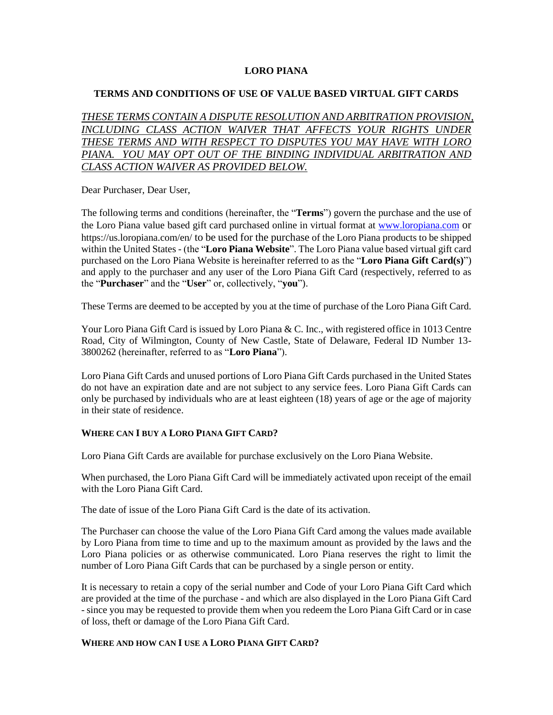## **LORO PIANA**

### **TERMS AND CONDITIONS OF USE OF VALUE BASED VIRTUAL GIFT CARDS**

*THESE TERMS CONTAIN A DISPUTE RESOLUTION AND ARBITRATION PROVISION, INCLUDING CLASS ACTION WAIVER THAT AFFECTS YOUR RIGHTS UNDER THESE TERMS AND WITH RESPECT TO DISPUTES YOU MAY HAVE WITH LORO*  PIANA. YOU MAY OPT OUT OF THE BINDING INDIVIDUAL ARBITRATION AND *CLASS ACTION WAIVER AS PROVIDED BELOW.*

Dear Purchaser, Dear User,

The following terms and conditions (hereinafter, the "**Terms**") govern the purchase and the use of the Loro Piana value based gift card purchased online in virtual format at [www.loropiana.com](http://www.loropiana.com/) or https://us.loropiana.com/en/ to be used for the purchase of the Loro Piana products to be shipped within the United States - (the "**Loro Piana Website**". The Loro Piana value based virtual gift card purchased on the Loro Piana Website is hereinafter referred to as the "**Loro Piana Gift Card(s)**") and apply to the purchaser and any user of the Loro Piana Gift Card (respectively, referred to as the "**Purchaser**" and the "**User**" or, collectively, "**you**").

These Terms are deemed to be accepted by you at the time of purchase of the Loro Piana Gift Card.

Your Loro Piana Gift Card is issued by Loro Piana & C. Inc., with registered office in 1013 Centre Road, City of Wilmington, County of New Castle, State of Delaware, Federal ID Number 13- 3800262 (hereinafter, referred to as "**Loro Piana**").

Loro Piana Gift Cards and unused portions of Loro Piana Gift Cards purchased in the United States do not have an expiration date and are not subject to any service fees. Loro Piana Gift Cards can only be purchased by individuals who are at least eighteen (18) years of age or the age of majority in their state of residence.

### **WHERE CAN I BUY A LORO PIANA GIFT CARD?**

Loro Piana Gift Cards are available for purchase exclusively on the Loro Piana Website.

When purchased, the Loro Piana Gift Card will be immediately activated upon receipt of the email with the Loro Piana Gift Card.

The date of issue of the Loro Piana Gift Card is the date of its activation.

The Purchaser can choose the value of the Loro Piana Gift Card among the values made available by Loro Piana from time to time and up to the maximum amount as provided by the laws and the Loro Piana policies or as otherwise communicated. Loro Piana reserves the right to limit the number of Loro Piana Gift Cards that can be purchased by a single person or entity.

It is necessary to retain a copy of the serial number and Code of your Loro Piana Gift Card which are provided at the time of the purchase - and which are also displayed in the Loro Piana Gift Card - since you may be requested to provide them when you redeem the Loro Piana Gift Card or in case of loss, theft or damage of the Loro Piana Gift Card.

# **WHERE AND HOW CAN I USE A LORO PIANA GIFT CARD?**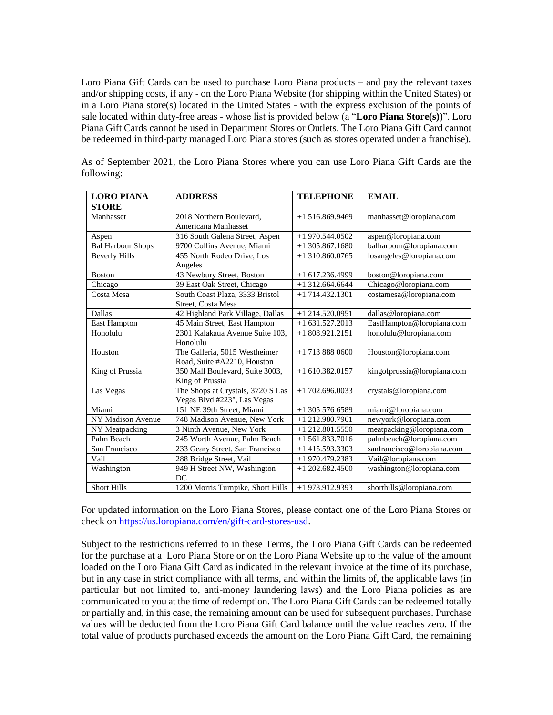Loro Piana Gift Cards can be used to purchase Loro Piana products – and pay the relevant taxes and/or shipping costs, if any - on the Loro Piana Website (for shipping within the United States) or in a Loro Piana store(s) located in the United States - with the express exclusion of the points of sale located within duty-free areas - whose list is provided below (a "**Loro Piana Store(s)**)". Loro Piana Gift Cards cannot be used in Department Stores or Outlets. The Loro Piana Gift Card cannot be redeemed in third-party managed Loro Piana stores (such as stores operated under a franchise).

| <b>LORO PIANA</b>        | <b>ADDRESS</b>                    | <b>TELEPHONE</b>  | <b>EMAIL</b>                |
|--------------------------|-----------------------------------|-------------------|-----------------------------|
| <b>STORE</b>             |                                   |                   |                             |
| Manhasset                | 2018 Northern Boulevard.          | $+1.516.869.9469$ | manhasset@loropiana.com     |
|                          | Americana Manhasset               |                   |                             |
| Aspen                    | 316 South Galena Street, Aspen    | $+1.970.544.0502$ | aspen@loropiana.com         |
| <b>Bal Harbour Shops</b> | 9700 Collins Avenue, Miami        | $+1.305.867.1680$ | balharbour@loropiana.com    |
| <b>Beverly Hills</b>     | 455 North Rodeo Drive, Los        | $+1.310.860.0765$ | losangeles@loropiana.com    |
|                          | Angeles                           |                   |                             |
| <b>Boston</b>            | 43 Newbury Street, Boston         | $+1.617.236.4999$ | boston@loropiana.com        |
| Chicago                  | 39 East Oak Street, Chicago       | $+1.312.664.6644$ | Chicago@loropiana.com       |
| Costa Mesa               | South Coast Plaza, 3333 Bristol   | $+1.714.432.1301$ | costamesa@loropiana.com     |
|                          | Street, Costa Mesa                |                   |                             |
| <b>Dallas</b>            | 42 Highland Park Village, Dallas  | $+1.214.520.0951$ | dallas@loropiana.com        |
| <b>East Hampton</b>      | 45 Main Street, East Hampton      | $+1.631.527.2013$ | EastHampton@loropiana.com   |
| Honolulu                 | 2301 Kalakaua Avenue Suite 103,   | $+1.808.921.2151$ | honolulu@loropiana.com      |
|                          | Honolulu                          |                   |                             |
| Houston                  | The Galleria, 5015 Westheimer     | $+1$ 713 888 0600 | Houston@loropiana.com       |
|                          | Road, Suite #A2210, Houston       |                   |                             |
| King of Prussia          | 350 Mall Boulevard, Suite 3003,   | $+1610.382.0157$  | kingofprussia@loropiana.com |
|                          | King of Prussia                   |                   |                             |
| Las Vegas                | The Shops at Crystals, 3720 S Las | $+1.702.696.0033$ | crystals@loropiana.com      |
|                          | Vegas Blvd #223°, Las Vegas       |                   |                             |
| Miami                    | 151 NE 39th Street, Miami         | $+1$ 305 576 6589 | miami@loropiana.com         |
| NY Madison Avenue        | 748 Madison Avenue, New York      | $+1.212.980.7961$ | newyork@loropiana.com       |
| NY Meatpacking           | 3 Ninth Avenue, New York          | $+1.212.801.5550$ | meatpacking@loropiana.com   |
| Palm Beach               | 245 Worth Avenue, Palm Beach      | $+1.561.833.7016$ | palmbeach@loropiana.com     |
| San Francisco            | 233 Geary Street, San Francisco   | $+1.415.593.3303$ | sanfrancisco@loropiana.com  |
| Vail                     | 288 Bridge Street, Vail           | $+1.970.479.2383$ | Vail@loropiana.com          |
| Washington               | 949 H Street NW, Washington       | $+1.202.682.4500$ | washington@loropiana.com    |
|                          | DC                                |                   |                             |
| <b>Short Hills</b>       | 1200 Morris Turnpike, Short Hills | $+1.973.912.9393$ | shorthills@loropiana.com    |

As of September 2021, the Loro Piana Stores where you can use Loro Piana Gift Cards are the following:

For updated information on the Loro Piana Stores, please contact one of the Loro Piana Stores or check on [https://us.loropiana.com/en/gift-card-stores-usd.](https://us.loropiana.com/en/gift-card-stores-usd)

Subject to the restrictions referred to in these Terms, the Loro Piana Gift Cards can be redeemed for the purchase at a Loro Piana Store or on the Loro Piana Website up to the value of the amount loaded on the Loro Piana Gift Card as indicated in the relevant invoice at the time of its purchase, but in any case in strict compliance with all terms, and within the limits of, the applicable laws (in particular but not limited to, anti-money laundering laws) and the Loro Piana policies as are communicated to you at the time of redemption. The Loro Piana Gift Cards can be redeemed totally or partially and, in this case, the remaining amount can be used for subsequent purchases. Purchase values will be deducted from the Loro Piana Gift Card balance until the value reaches zero. If the total value of products purchased exceeds the amount on the Loro Piana Gift Card, the remaining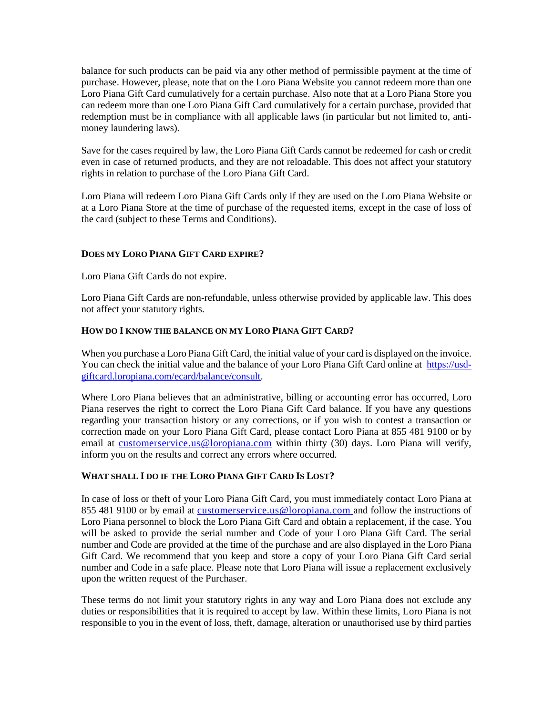balance for such products can be paid via any other method of permissible payment at the time of purchase. However, please, note that on the Loro Piana Website you cannot redeem more than one Loro Piana Gift Card cumulatively for a certain purchase. Also note that at a Loro Piana Store you can redeem more than one Loro Piana Gift Card cumulatively for a certain purchase, provided that redemption must be in compliance with all applicable laws (in particular but not limited to, antimoney laundering laws).

Save for the cases required by law, the Loro Piana Gift Cards cannot be redeemed for cash or credit even in case of returned products, and they are not reloadable. This does not affect your statutory rights in relation to purchase of the Loro Piana Gift Card.

Loro Piana will redeem Loro Piana Gift Cards only if they are used on the Loro Piana Website or at a Loro Piana Store at the time of purchase of the requested items, except in the case of loss of the card (subject to these Terms and Conditions).

## **DOES MY LORO PIANA GIFT CARD EXPIRE?**

Loro Piana Gift Cards do not expire.

Loro Piana Gift Cards are non-refundable, unless otherwise provided by applicable law. This does not affect your statutory rights.

## **HOW DO I KNOW THE BALANCE ON MY LORO PIANA GIFT CARD?**

When you purchase a Loro Piana Gift Card, the initial value of your card is displayed on the invoice. You can check the initial value and the balance of your Loro Piana Gift Card online at [https://usd](https://usd-giftcard.loropiana.com/ecard/balance/consult)[giftcard.loropiana.com/ecard/balance/consult.](https://usd-giftcard.loropiana.com/ecard/balance/consult)

Where Loro Piana believes that an administrative, billing or accounting error has occurred, Loro Piana reserves the right to correct the Loro Piana Gift Card balance. If you have any questions regarding your transaction history or any corrections, or if you wish to contest a transaction or correction made on your Loro Piana Gift Card, please contact Loro Piana at 855 481 9100 or by email at [customerservice.us@loropiana.com](mailto:customerservice.us@loropiana.com) within thirty (30) days. Loro Piana will verify, inform you on the results and correct any errors where occurred.

### **WHAT SHALL I DO IF THE LORO PIANA GIFT CARD IS LOST?**

In case of loss or theft of your Loro Piana Gift Card, you must immediately contact Loro Piana at 855 481 9100 or by email at [customerservice.us@loropiana.com](mailto:customerservice.us@loropiana.com) and follow the instructions of Loro Piana personnel to block the Loro Piana Gift Card and obtain a replacement, if the case. You will be asked to provide the serial number and Code of your Loro Piana Gift Card. The serial number and Code are provided at the time of the purchase and are also displayed in the Loro Piana Gift Card. We recommend that you keep and store a copy of your Loro Piana Gift Card serial number and Code in a safe place. Please note that Loro Piana will issue a replacement exclusively upon the written request of the Purchaser.

These terms do not limit your statutory rights in any way and Loro Piana does not exclude any duties or responsibilities that it is required to accept by law. Within these limits, Loro Piana is not responsible to you in the event of loss, theft, damage, alteration or unauthorised use by third parties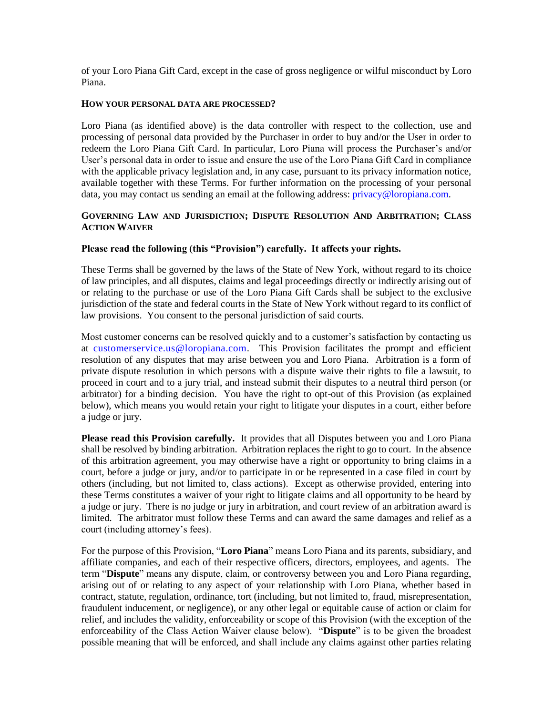of your Loro Piana Gift Card, except in the case of gross negligence or wilful misconduct by Loro Piana.

#### **HOW YOUR PERSONAL DATA ARE PROCESSED?**

Loro Piana (as identified above) is the data controller with respect to the collection, use and processing of personal data provided by the Purchaser in order to buy and/or the User in order to redeem the Loro Piana Gift Card. In particular, Loro Piana will process the Purchaser's and/or User's personal data in order to issue and ensure the use of the Loro Piana Gift Card in compliance with the applicable privacy legislation and, in any case, pursuant to its privacy information notice, available together with these Terms. For further information on the processing of your personal data, you may contact us sending an email at the following address: [privacy@loropiana.com.](mailto:privacy@loropiana.com)

### **GOVERNING LAW AND JURISDICTION; DISPUTE RESOLUTION AND ARBITRATION; CLASS ACTION WAIVER**

### **Please read the following (this "Provision") carefully. It affects your rights.**

These Terms shall be governed by the laws of the State of New York, without regard to its choice of law principles, and all disputes, claims and legal proceedings directly or indirectly arising out of or relating to the purchase or use of the Loro Piana Gift Cards shall be subject to the exclusive jurisdiction of the state and federal courts in the State of New York without regard to its conflict of law provisions. You consent to the personal jurisdiction of said courts.

Most customer concerns can be resolved quickly and to a customer's satisfaction by contacting us at [customerservice.us@loropiana.com.](mailto:customerservice.us@loropiana.com) This Provision facilitates the prompt and efficient resolution of any disputes that may arise between you and Loro Piana. Arbitration is a form of private dispute resolution in which persons with a dispute waive their rights to file a lawsuit, to proceed in court and to a jury trial, and instead submit their disputes to a neutral third person (or arbitrator) for a binding decision. You have the right to opt-out of this Provision (as explained below), which means you would retain your right to litigate your disputes in a court, either before a judge or jury.

**Please read this Provision carefully.** It provides that all Disputes between you and Loro Piana shall be resolved by binding arbitration. Arbitration replaces the right to go to court. In the absence of this arbitration agreement, you may otherwise have a right or opportunity to bring claims in a court, before a judge or jury, and/or to participate in or be represented in a case filed in court by others (including, but not limited to, class actions). Except as otherwise provided, entering into these Terms constitutes a waiver of your right to litigate claims and all opportunity to be heard by a judge or jury. There is no judge or jury in arbitration, and court review of an arbitration award is limited. The arbitrator must follow these Terms and can award the same damages and relief as a court (including attorney's fees).

For the purpose of this Provision, "**Loro Piana**" means Loro Piana and its parents, subsidiary, and affiliate companies, and each of their respective officers, directors, employees, and agents. The term "**Dispute**" means any dispute, claim, or controversy between you and Loro Piana regarding, arising out of or relating to any aspect of your relationship with Loro Piana, whether based in contract, statute, regulation, ordinance, tort (including, but not limited to, fraud, misrepresentation, fraudulent inducement, or negligence), or any other legal or equitable cause of action or claim for relief, and includes the validity, enforceability or scope of this Provision (with the exception of the enforceability of the Class Action Waiver clause below). "**Dispute**" is to be given the broadest possible meaning that will be enforced, and shall include any claims against other parties relating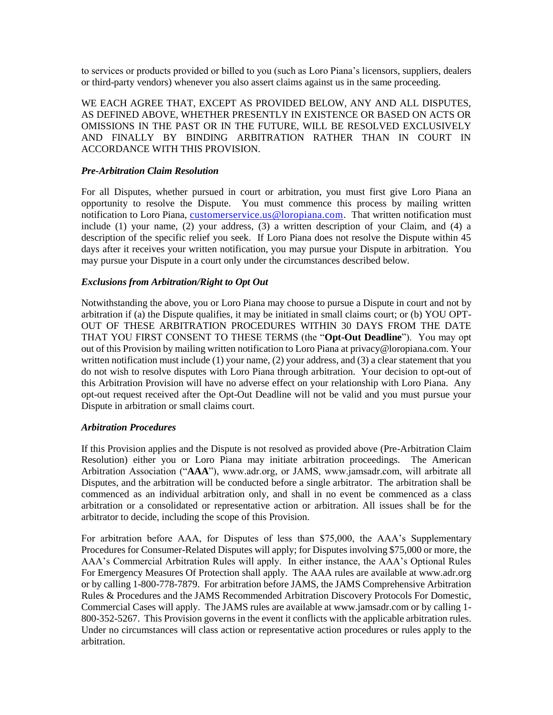to services or products provided or billed to you (such as Loro Piana's licensors, suppliers, dealers or third-party vendors) whenever you also assert claims against us in the same proceeding.

WE EACH AGREE THAT, EXCEPT AS PROVIDED BELOW, ANY AND ALL DISPUTES, AS DEFINED ABOVE, WHETHER PRESENTLY IN EXISTENCE OR BASED ON ACTS OR OMISSIONS IN THE PAST OR IN THE FUTURE, WILL BE RESOLVED EXCLUSIVELY AND FINALLY BY BINDING ARBITRATION RATHER THAN IN COURT IN ACCORDANCE WITH THIS PROVISION.

#### *Pre-Arbitration Claim Resolution*

For all Disputes, whether pursued in court or arbitration, you must first give Loro Piana an opportunity to resolve the Dispute. You must commence this process by mailing written notification to Loro Piana, customerservice.us @loropiana.com. That written notification must include (1) your name, (2) your address, (3) a written description of your Claim, and (4) a description of the specific relief you seek. If Loro Piana does not resolve the Dispute within 45 days after it receives your written notification, you may pursue your Dispute in arbitration. You may pursue your Dispute in a court only under the circumstances described below.

### *Exclusions from Arbitration/Right to Opt Out*

Notwithstanding the above, you or Loro Piana may choose to pursue a Dispute in court and not by arbitration if (a) the Dispute qualifies, it may be initiated in small claims court; or (b) YOU OPT-OUT OF THESE ARBITRATION PROCEDURES WITHIN 30 DAYS FROM THE DATE THAT YOU FIRST CONSENT TO THESE TERMS (the "**Opt-Out Deadline**"). You may opt out of this Provision by mailing written notification to Loro Piana at privacy@loropiana.com. Your written notification must include (1) your name, (2) your address, and (3) a clear statement that you do not wish to resolve disputes with Loro Piana through arbitration. Your decision to opt-out of this Arbitration Provision will have no adverse effect on your relationship with Loro Piana. Any opt-out request received after the Opt-Out Deadline will not be valid and you must pursue your Dispute in arbitration or small claims court.

### *Arbitration Procedures*

If this Provision applies and the Dispute is not resolved as provided above (Pre-Arbitration Claim Resolution) either you or Loro Piana may initiate arbitration proceedings. The American Arbitration Association ("**AAA**"), www.adr.org, or JAMS, www.jamsadr.com, will arbitrate all Disputes, and the arbitration will be conducted before a single arbitrator. The arbitration shall be commenced as an individual arbitration only, and shall in no event be commenced as a class arbitration or a consolidated or representative action or arbitration. All issues shall be for the arbitrator to decide, including the scope of this Provision.

For arbitration before AAA, for Disputes of less than \$75,000, the AAA's Supplementary Procedures for Consumer-Related Disputes will apply; for Disputes involving \$75,000 or more, the AAA's Commercial Arbitration Rules will apply. In either instance, the AAA's Optional Rules For Emergency Measures Of Protection shall apply. The AAA rules are available at www.adr.org or by calling 1-800-778-7879. For arbitration before JAMS, the JAMS Comprehensive Arbitration Rules & Procedures and the JAMS Recommended Arbitration Discovery Protocols For Domestic, Commercial Cases will apply. The JAMS rules are available at www.jamsadr.com or by calling 1- 800-352-5267. This Provision governs in the event it conflicts with the applicable arbitration rules. Under no circumstances will class action or representative action procedures or rules apply to the arbitration.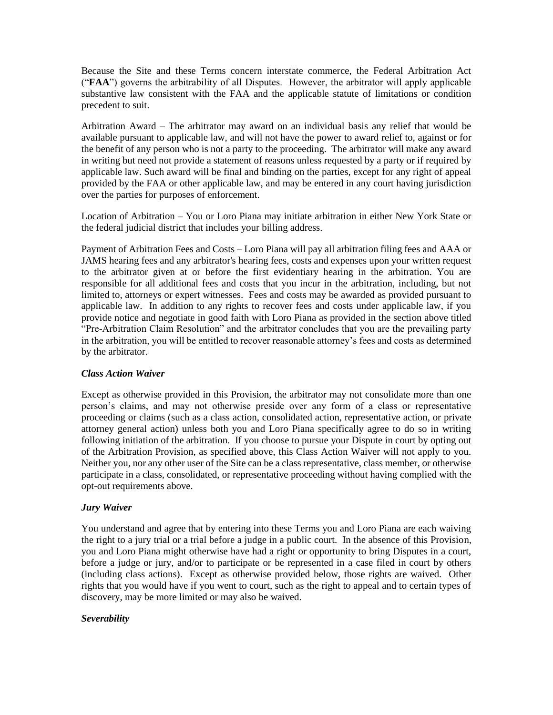Because the Site and these Terms concern interstate commerce, the Federal Arbitration Act ("**FAA**") governs the arbitrability of all Disputes. However, the arbitrator will apply applicable substantive law consistent with the FAA and the applicable statute of limitations or condition precedent to suit.

Arbitration Award – The arbitrator may award on an individual basis any relief that would be available pursuant to applicable law, and will not have the power to award relief to, against or for the benefit of any person who is not a party to the proceeding. The arbitrator will make any award in writing but need not provide a statement of reasons unless requested by a party or if required by applicable law. Such award will be final and binding on the parties, except for any right of appeal provided by the FAA or other applicable law, and may be entered in any court having jurisdiction over the parties for purposes of enforcement.

Location of Arbitration – You or Loro Piana may initiate arbitration in either New York State or the federal judicial district that includes your billing address.

Payment of Arbitration Fees and Costs – Loro Piana will pay all arbitration filing fees and AAA or JAMS hearing fees and any arbitrator's hearing fees, costs and expenses upon your written request to the arbitrator given at or before the first evidentiary hearing in the arbitration. You are responsible for all additional fees and costs that you incur in the arbitration, including, but not limited to, attorneys or expert witnesses. Fees and costs may be awarded as provided pursuant to applicable law. In addition to any rights to recover fees and costs under applicable law, if you provide notice and negotiate in good faith with Loro Piana as provided in the section above titled "Pre-Arbitration Claim Resolution" and the arbitrator concludes that you are the prevailing party in the arbitration, you will be entitled to recover reasonable attorney's fees and costs as determined by the arbitrator.

### *Class Action Waiver*

Except as otherwise provided in this Provision, the arbitrator may not consolidate more than one person's claims, and may not otherwise preside over any form of a class or representative proceeding or claims (such as a class action, consolidated action, representative action, or private attorney general action) unless both you and Loro Piana specifically agree to do so in writing following initiation of the arbitration. If you choose to pursue your Dispute in court by opting out of the Arbitration Provision, as specified above, this Class Action Waiver will not apply to you. Neither you, nor any other user of the Site can be a class representative, class member, or otherwise participate in a class, consolidated, or representative proceeding without having complied with the opt-out requirements above.

# *Jury Waiver*

You understand and agree that by entering into these Terms you and Loro Piana are each waiving the right to a jury trial or a trial before a judge in a public court. In the absence of this Provision, you and Loro Piana might otherwise have had a right or opportunity to bring Disputes in a court, before a judge or jury, and/or to participate or be represented in a case filed in court by others (including class actions). Except as otherwise provided below, those rights are waived. Other rights that you would have if you went to court, such as the right to appeal and to certain types of discovery, may be more limited or may also be waived.

### *Severability*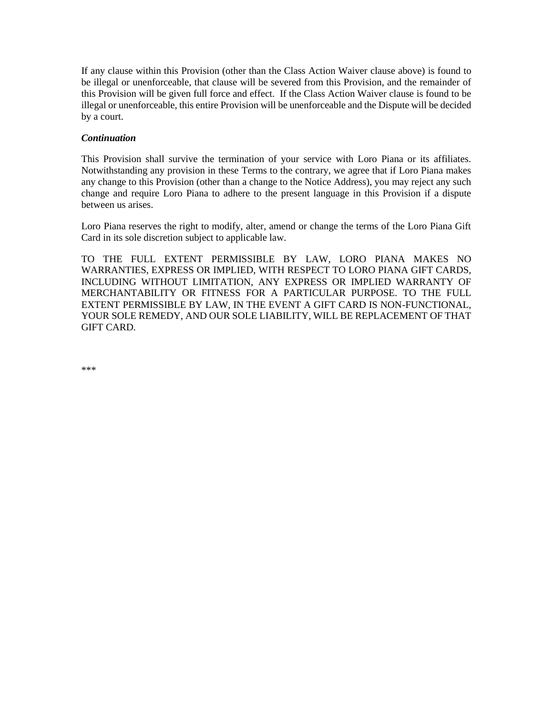If any clause within this Provision (other than the Class Action Waiver clause above) is found to be illegal or unenforceable, that clause will be severed from this Provision, and the remainder of this Provision will be given full force and effect. If the Class Action Waiver clause is found to be illegal or unenforceable, this entire Provision will be unenforceable and the Dispute will be decided by a court.

### *Continuation*

This Provision shall survive the termination of your service with Loro Piana or its affiliates. Notwithstanding any provision in these Terms to the contrary, we agree that if Loro Piana makes any change to this Provision (other than a change to the Notice Address), you may reject any such change and require Loro Piana to adhere to the present language in this Provision if a dispute between us arises.

Loro Piana reserves the right to modify, alter, amend or change the terms of the Loro Piana Gift Card in its sole discretion subject to applicable law.

TO THE FULL EXTENT PERMISSIBLE BY LAW, LORO PIANA MAKES NO WARRANTIES, EXPRESS OR IMPLIED, WITH RESPECT TO LORO PIANA GIFT CARDS, INCLUDING WITHOUT LIMITATION, ANY EXPRESS OR IMPLIED WARRANTY OF MERCHANTABILITY OR FITNESS FOR A PARTICULAR PURPOSE. TO THE FULL EXTENT PERMISSIBLE BY LAW, IN THE EVENT A GIFT CARD IS NON-FUNCTIONAL, YOUR SOLE REMEDY, AND OUR SOLE LIABILITY, WILL BE REPLACEMENT OF THAT GIFT CARD.

\*\*\*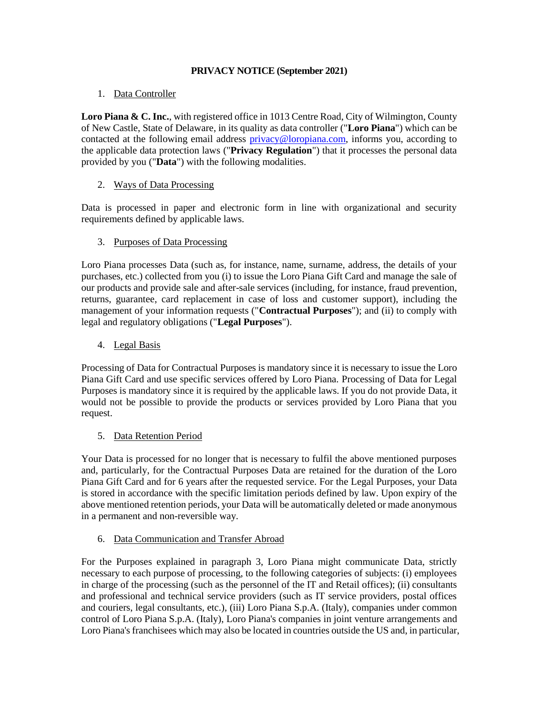## **PRIVACY NOTICE (September 2021)**

## 1. Data Controller

Loro Piana & C. Inc., with registered office in 1013 Centre Road, City of Wilmington, County of New Castle, State of Delaware, in its quality as data controller ("**Loro Piana**") which can be contacted at the following email address [privacy@loropiana.com,](mailto:privacy@loropiana.com) informs you, according to the applicable data protection laws ("**Privacy Regulation**") that it processes the personal data provided by you ("**Data**") with the following modalities.

# 2. Ways of Data Processing

Data is processed in paper and electronic form in line with organizational and security requirements defined by applicable laws.

## 3. Purposes of Data Processing

Loro Piana processes Data (such as, for instance, name, surname, address, the details of your purchases, etc.) collected from you (i) to issue the Loro Piana Gift Card and manage the sale of our products and provide sale and after-sale services (including, for instance, fraud prevention, returns, guarantee, card replacement in case of loss and customer support), including the management of your information requests ("**Contractual Purposes**"); and (ii) to comply with legal and regulatory obligations ("**Legal Purposes**").

## 4. Legal Basis

Processing of Data for Contractual Purposes is mandatory since it is necessary to issue the Loro Piana Gift Card and use specific services offered by Loro Piana. Processing of Data for Legal Purposes is mandatory since it is required by the applicable laws. If you do not provide Data, it would not be possible to provide the products or services provided by Loro Piana that you request.

### 5. Data Retention Period

Your Data is processed for no longer that is necessary to fulfil the above mentioned purposes and, particularly, for the Contractual Purposes Data are retained for the duration of the Loro Piana Gift Card and for 6 years after the requested service. For the Legal Purposes, your Data is stored in accordance with the specific limitation periods defined by law. Upon expiry of the above mentioned retention periods, your Data will be automatically deleted or made anonymous in a permanent and non-reversible way.

### 6. Data Communication and Transfer Abroad

For the Purposes explained in paragraph 3, Loro Piana might communicate Data, strictly necessary to each purpose of processing, to the following categories of subjects: (i) employees in charge of the processing (such as the personnel of the IT and Retail offices); (ii) consultants and professional and technical service providers (such as IT service providers, postal offices and couriers, legal consultants, etc.), (iii) Loro Piana S.p.A. (Italy), companies under common control of Loro Piana S.p.A. (Italy), Loro Piana's companies in joint venture arrangements and Loro Piana's franchisees which may also be located in countries outside the US and, in particular,